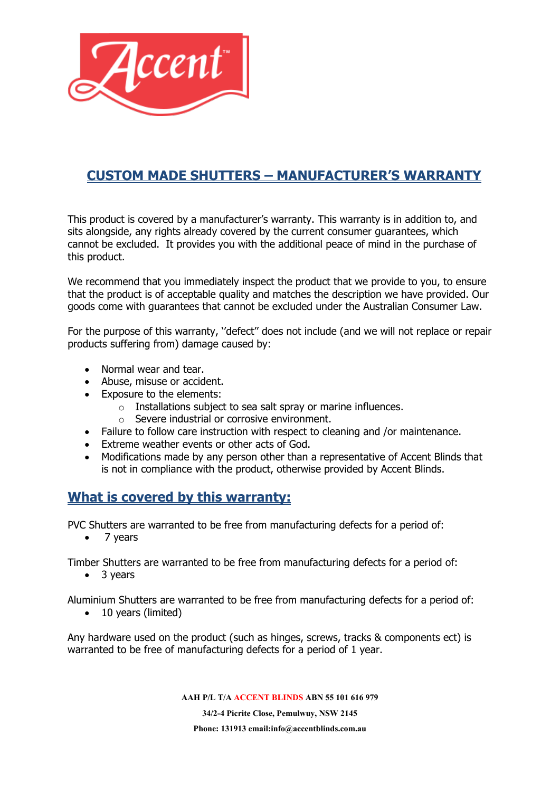

# **CUSTOM MADE SHUTTERS – MANUFACTURER'S WARRANTY**

This product is covered by a manufacturer's warranty. This warranty is in addition to, and sits alongside, any rights already covered by the current consumer guarantees, which cannot be excluded. It provides you with the additional peace of mind in the purchase of this product.

We recommend that you immediately inspect the product that we provide to you, to ensure that the product is of acceptable quality and matches the description we have provided. Our goods come with guarantees that cannot be excluded under the Australian Consumer Law.

For the purpose of this warranty, ''defect'' does not include (and we will not replace or repair products suffering from) damage caused by:

- Normal wear and tear.
- Abuse, misuse or accident.
- Exposure to the elements:
	- o Installations subject to sea salt spray or marine influences.
	- o Severe industrial or corrosive environment.
- Failure to follow care instruction with respect to cleaning and /or maintenance.
- Extreme weather events or other acts of God.
- Modifications made by any person other than a representative of Accent Blinds that is not in compliance with the product, otherwise provided by Accent Blinds.

### **What is covered by this warranty:**

PVC Shutters are warranted to be free from manufacturing defects for a period of:

• 7 years

Timber Shutters are warranted to be free from manufacturing defects for a period of:

• 3 years

Aluminium Shutters are warranted to be free from manufacturing defects for a period of:

• 10 years (limited)

Any hardware used on the product (such as hinges, screws, tracks & components ect) is warranted to be free of manufacturing defects for a period of 1 year.

**AAH P/L T/A ACCENT BLINDS ABN 55 101 616 979**

**34/2-4 Picrite Close, Pemulwuy, NSW 2145 Phone: 131913 email:info@accentblinds.com.au**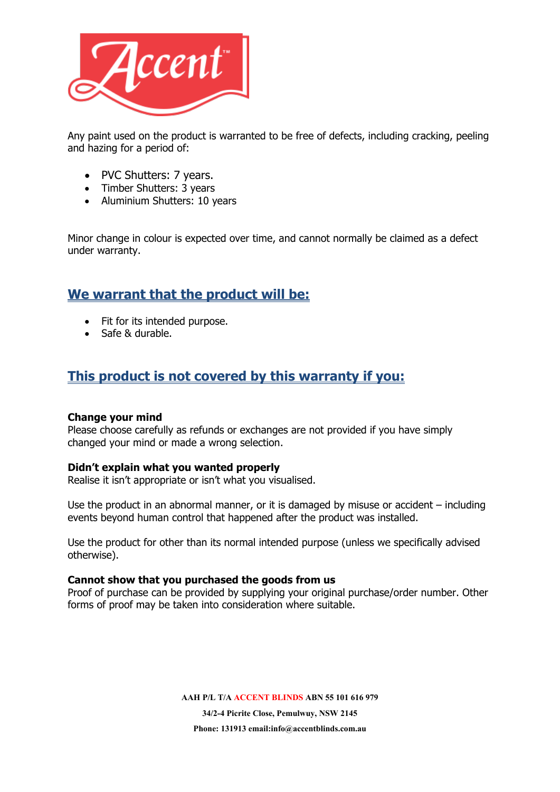

Any paint used on the product is warranted to be free of defects, including cracking, peeling and hazing for a period of:

- PVC Shutters: 7 years.
- Timber Shutters: 3 years
- Aluminium Shutters: 10 years

Minor change in colour is expected over time, and cannot normally be claimed as a defect under warranty.

# **We warrant that the product will be:**

- Fit for its intended purpose.
- Safe & durable.

## **This product is not covered by this warranty if you:**

#### **Change your mind**

Please choose carefully as refunds or exchanges are not provided if you have simply changed your mind or made a wrong selection.

#### **Didn't explain what you wanted properly**

Realise it isn't appropriate or isn't what you visualised.

Use the product in an abnormal manner, or it is damaged by misuse or accident – including events beyond human control that happened after the product was installed.

Use the product for other than its normal intended purpose (unless we specifically advised otherwise).

#### **Cannot show that you purchased the goods from us**

Proof of purchase can be provided by supplying your original purchase/order number. Other forms of proof may be taken into consideration where suitable.

**AAH P/L T/A ACCENT BLINDS ABN 55 101 616 979**

**34/2-4 Picrite Close, Pemulwuy, NSW 2145 Phone: 131913 email:info@accentblinds.com.au**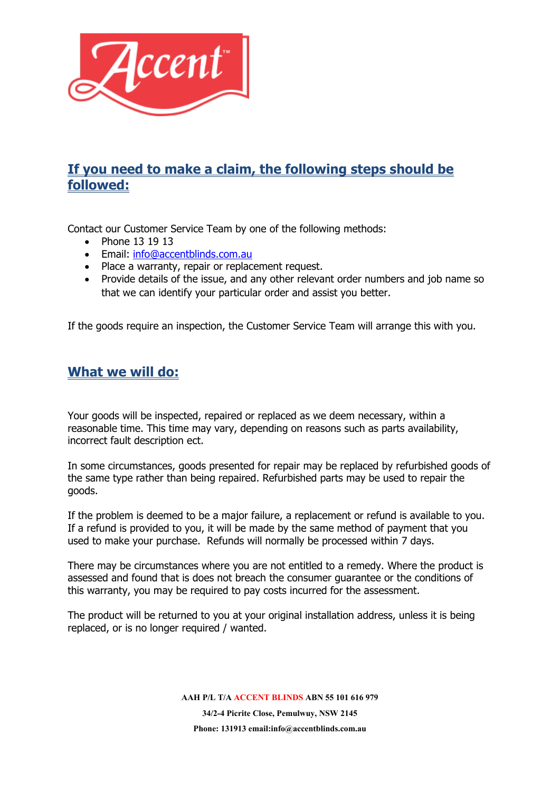

# **If you need to make a claim, the following steps should be followed:**

Contact our Customer Service Team by one of the following methods:

- Phone 13 19 13
- Email: [info@accentblinds.com.au](mailto:info@accentblinds.com.au)
- Place a warranty, repair or replacement request.
- Provide details of the issue, and any other relevant order numbers and job name so that we can identify your particular order and assist you better.

If the goods require an inspection, the Customer Service Team will arrange this with you.

### **What we will do:**

Your goods will be inspected, repaired or replaced as we deem necessary, within a reasonable time. This time may vary, depending on reasons such as parts availability, incorrect fault description ect.

In some circumstances, goods presented for repair may be replaced by refurbished goods of the same type rather than being repaired. Refurbished parts may be used to repair the goods.

If the problem is deemed to be a major failure, a replacement or refund is available to you. If a refund is provided to you, it will be made by the same method of payment that you used to make your purchase. Refunds will normally be processed within 7 days.

There may be circumstances where you are not entitled to a remedy. Where the product is assessed and found that is does not breach the consumer guarantee or the conditions of this warranty, you may be required to pay costs incurred for the assessment.

The product will be returned to you at your original installation address, unless it is being replaced, or is no longer required / wanted.

> **AAH P/L T/A ACCENT BLINDS ABN 55 101 616 979 34/2-4 Picrite Close, Pemulwuy, NSW 2145 Phone: 131913 email:info@accentblinds.com.au**